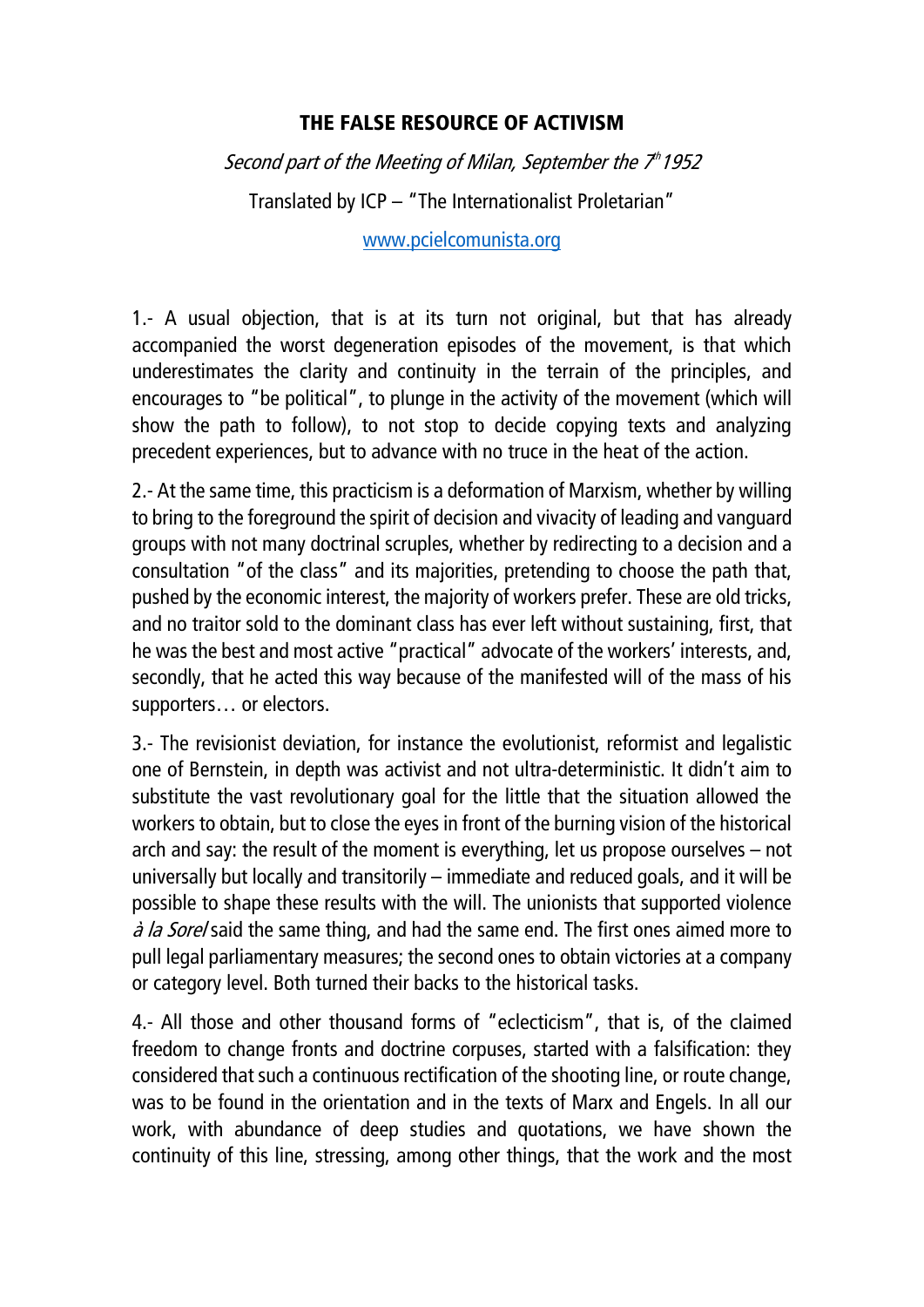## THE FALSE RESOURCE OF ACTIVISM

Second part of the Meeting of Milan, September the 7th 1952 Translated by ICP – "The Internationalist Proletarian"

[www.pcielcomunista.org](http://www.pcielcomunista.org/)

1.- A usual objection, that is at its turn not original, but that has already accompanied the worst degeneration episodes of the movement, is that which underestimates the clarity and continuity in the terrain of the principles, and encourages to "be political", to plunge in the activity of the movement (which will show the path to follow), to not stop to decide copying texts and analyzing precedent experiences, but to advance with no truce in the heat of the action.

2.- At the same time, this practicism is a deformation of Marxism, whether by willing to bring to the foreground the spirit of decision and vivacity of leading and vanguard groups with not many doctrinal scruples, whether by redirecting to a decision and a consultation "of the class" and its majorities, pretending to choose the path that, pushed by the economic interest, the majority of workers prefer. These are old tricks, and no traitor sold to the dominant class has ever left without sustaining, first, that he was the best and most active "practical" advocate of the workers' interests, and, secondly, that he acted this way because of the manifested will of the mass of his supporters… or electors.

3.- The revisionist deviation, for instance the evolutionist, reformist and legalistic one of Bernstein, in depth was activist and not ultra-deterministic. It didn't aim to substitute the vast revolutionary goal for the little that the situation allowed the workers to obtain, but to close the eyes in front of the burning vision of the historical arch and say: the result of the moment is everything, let us propose ourselves – not universally but locally and transitorily – immediate and reduced goals, and it will be possible to shape these results with the will. The unionists that supported violence *à la Sorel* said the same thing, and had the same end. The first ones aimed more to pull legal parliamentary measures; the second ones to obtain victories at a company or category level. Both turned their backs to the historical tasks.

4.- All those and other thousand forms of "eclecticism", that is, of the claimed freedom to change fronts and doctrine corpuses, started with a falsification: they considered that such a continuous rectification of the shooting line, or route change, was to be found in the orientation and in the texts of Marx and Engels. In all our work, with abundance of deep studies and quotations, we have shown the continuity of this line, stressing, among other things, that the work and the most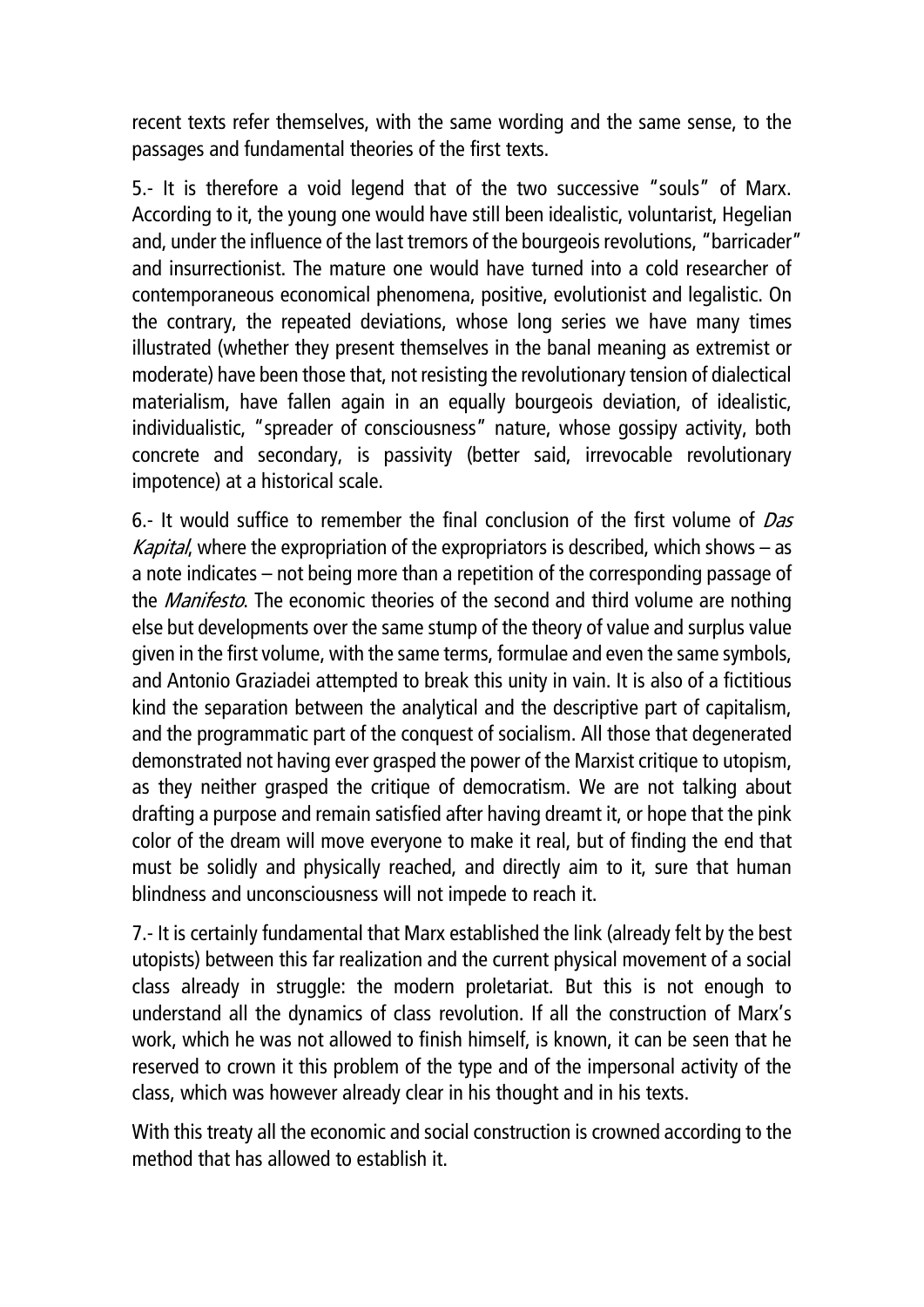recent texts refer themselves, with the same wording and the same sense, to the passages and fundamental theories of the first texts.

5.- It is therefore a void legend that of the two successive "souls" of Marx. According to it, the young one would have still been idealistic, voluntarist, Hegelian and, under the influence of the last tremors of the bourgeois revolutions, "barricader" and insurrectionist. The mature one would have turned into a cold researcher of contemporaneous economical phenomena, positive, evolutionist and legalistic. On the contrary, the repeated deviations, whose long series we have many times illustrated (whether they present themselves in the banal meaning as extremist or moderate) have been those that, not resisting the revolutionary tension of dialectical materialism, have fallen again in an equally bourgeois deviation, of idealistic, individualistic, "spreader of consciousness" nature, whose gossipy activity, both concrete and secondary, is passivity (better said, irrevocable revolutionary impotence) at a historical scale.

6.- It would suffice to remember the final conclusion of the first volume of  $Das$ *Kapital*, where the expropriation of the expropriators is described, which shows  $-$  as a note indicates – not being more than a repetition of the corresponding passage of the *Manifesto*. The economic theories of the second and third volume are nothing else but developments over the same stump of the theory of value and surplus value given in the first volume, with the same terms, formulae and even the same symbols, and Antonio Graziadei attempted to break this unity in vain. It is also of a fictitious kind the separation between the analytical and the descriptive part of capitalism, and the programmatic part of the conquest of socialism. All those that degenerated demonstrated not having ever grasped the power of the Marxist critique to utopism, as they neither grasped the critique of democratism. We are not talking about drafting a purpose and remain satisfied after having dreamt it, or hope that the pink color of the dream will move everyone to make it real, but of finding the end that must be solidly and physically reached, and directly aim to it, sure that human blindness and unconsciousness will not impede to reach it.

7.- It is certainly fundamental that Marx established the link (already felt by the best utopists) between this far realization and the current physical movement of a social class already in struggle: the modern proletariat. But this is not enough to understand all the dynamics of class revolution. If all the construction of Marx's work, which he was not allowed to finish himself, is known, it can be seen that he reserved to crown it this problem of the type and of the impersonal activity of the class, which was however already clear in his thought and in his texts.

With this treaty all the economic and social construction is crowned according to the method that has allowed to establish it.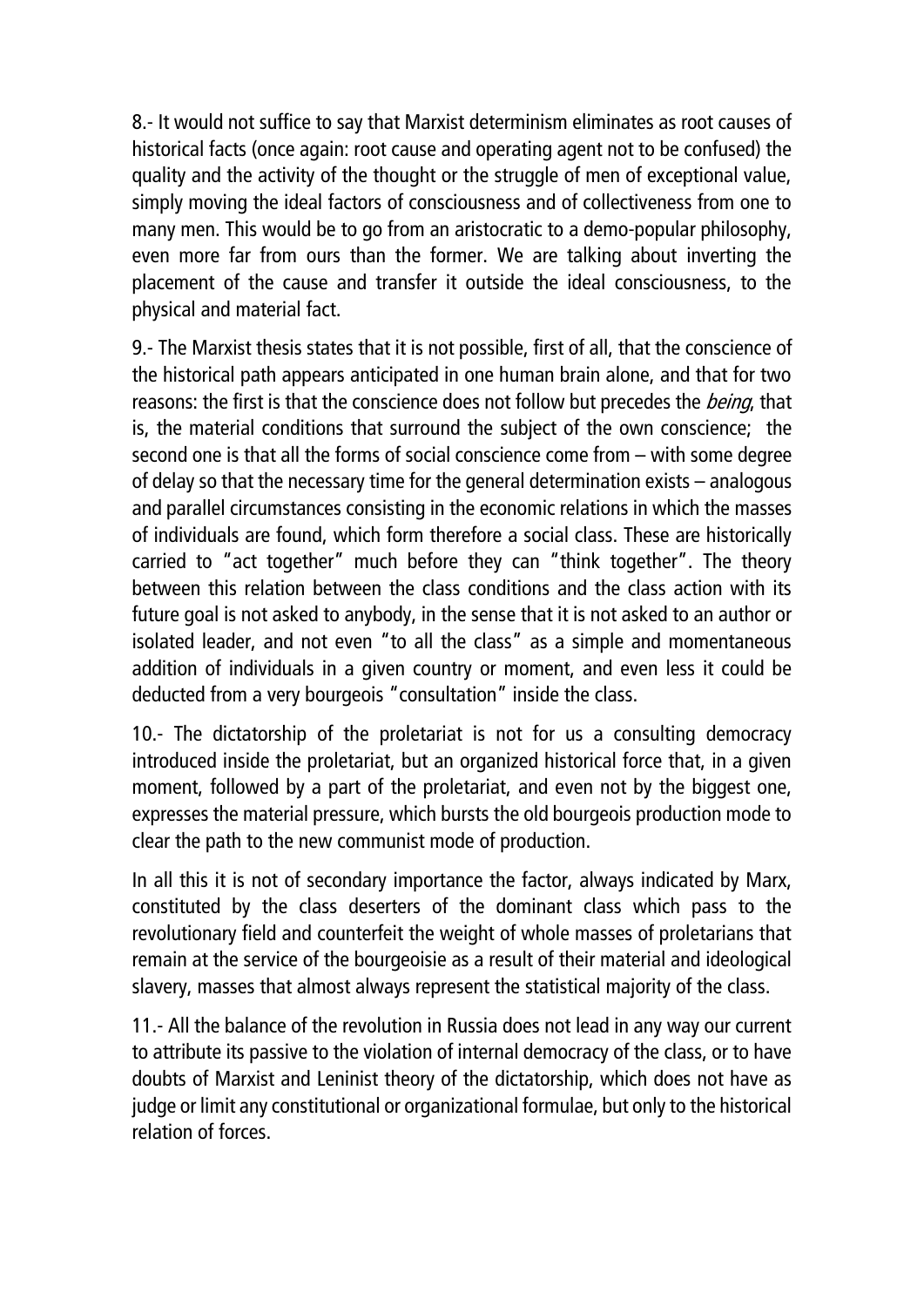8.- It would not suffice to say that Marxist determinism eliminates as root causes of historical facts (once again: root cause and operating agent not to be confused) the quality and the activity of the thought or the struggle of men of exceptional value, simply moving the ideal factors of consciousness and of collectiveness from one to many men. This would be to go from an aristocratic to a demo-popular philosophy, even more far from ours than the former. We are talking about inverting the placement of the cause and transfer it outside the ideal consciousness, to the physical and material fact.

9.- The Marxist thesis states that it is not possible, first of all, that the conscience of the historical path appears anticipated in one human brain alone, and that for two reasons: the first is that the conscience does not follow but precedes the *being*, that is, the material conditions that surround the subject of the own conscience; the second one is that all the forms of social conscience come from – with some degree of delay so that the necessary time for the general determination exists – analogous and parallel circumstances consisting in the economic relations in which the masses of individuals are found, which form therefore a social class. These are historically carried to "act together" much before they can "think together". The theory between this relation between the class conditions and the class action with its future goal is not asked to anybody, in the sense that it is not asked to an author or isolated leader, and not even "to all the class" as a simple and momentaneous addition of individuals in a given country or moment, and even less it could be deducted from a very bourgeois "consultation" inside the class.

10.- The dictatorship of the proletariat is not for us a consulting democracy introduced inside the proletariat, but an organized historical force that, in a given moment, followed by a part of the proletariat, and even not by the biggest one, expresses the material pressure, which bursts the old bourgeois production mode to clear the path to the new communist mode of production.

In all this it is not of secondary importance the factor, always indicated by Marx, constituted by the class deserters of the dominant class which pass to the revolutionary field and counterfeit the weight of whole masses of proletarians that remain at the service of the bourgeoisie as a result of their material and ideological slavery, masses that almost always represent the statistical majority of the class.

11.- All the balance of the revolution in Russia does not lead in any way our current to attribute its passive to the violation of internal democracy of the class, or to have doubts of Marxist and Leninist theory of the dictatorship, which does not have as judge or limit any constitutional or organizational formulae, but only to the historical relation of forces.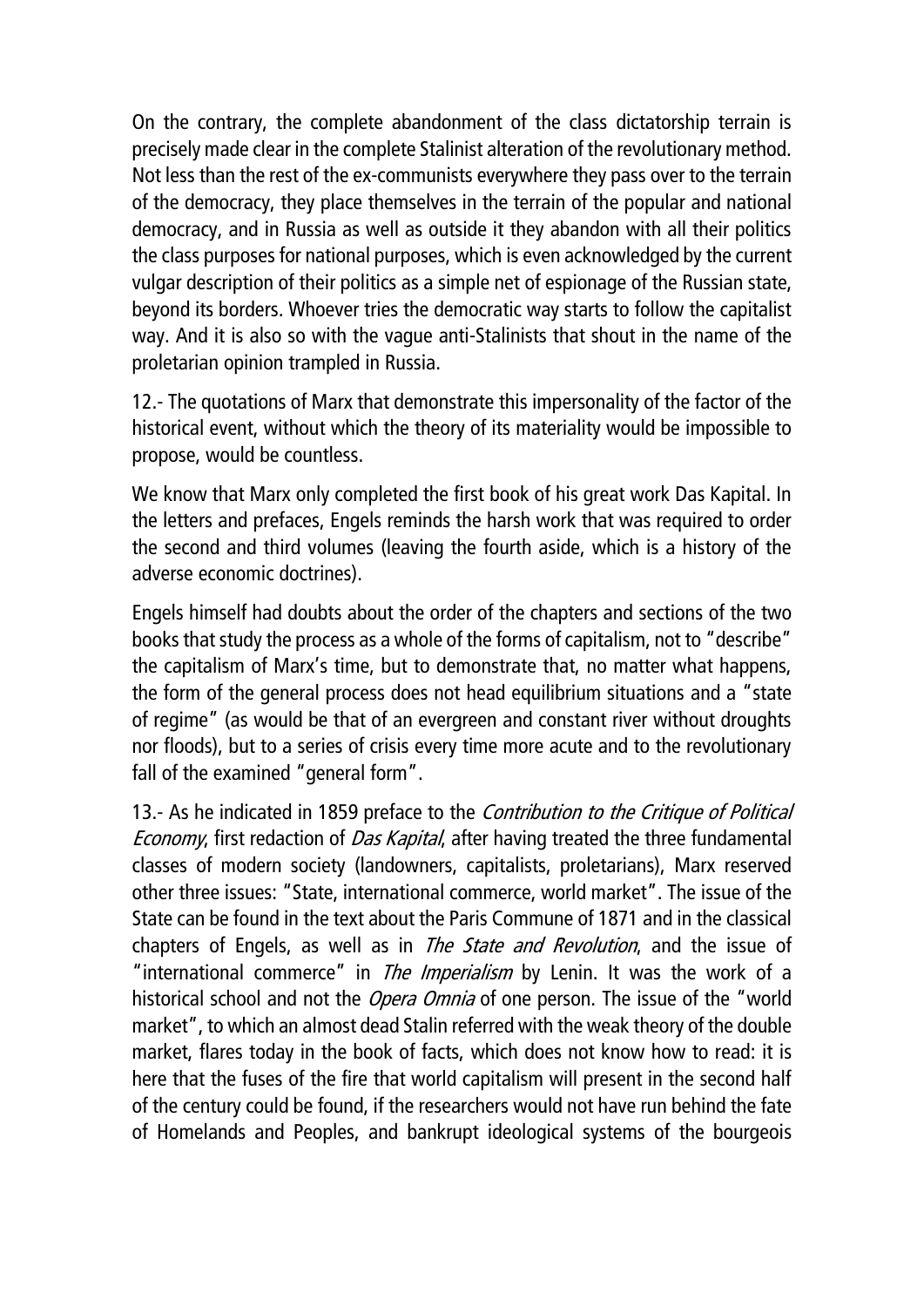On the contrary, the complete abandonment of the class dictatorship terrain is precisely made clear in the complete Stalinist alteration of the revolutionary method. Not less than the rest of the ex-communists everywhere they pass over to the terrain of the democracy, they place themselves in the terrain of the popular and national democracy, and in Russia as well as outside it they abandon with all their politics the class purposes for national purposes, which is even acknowledged by the current vulgar description of their politics as a simple net of espionage of the Russian state, beyond its borders. Whoever tries the democratic way starts to follow the capitalist way. And it is also so with the vague anti-Stalinists that shout in the name of the proletarian opinion trampled in Russia.

12.- The quotations of Marx that demonstrate this impersonality of the factor of the historical event, without which the theory of its materiality would be impossible to propose, would be countless.

We know that Marx only completed the first book of his great work Das Kapital. In the letters and prefaces, Engels reminds the harsh work that was required to order the second and third volumes (leaving the fourth aside, which is a history of the adverse economic doctrines).

Engels himself had doubts about the order of the chapters and sections of the two books that study the process as a whole of the forms of capitalism, not to "describe" the capitalism of Marx's time, but to demonstrate that, no matter what happens, the form of the general process does not head equilibrium situations and a "state of regime" (as would be that of an evergreen and constant river without droughts nor floods), but to a series of crisis every time more acute and to the revolutionary fall of the examined "general form".

13.- As he indicated in 1859 preface to the *Contribution to the Critique of Political* Economy, first redaction of Das Kapital, after having treated the three fundamental classes of modern society (landowners, capitalists, proletarians), Marx reserved other three issues: "State, international commerce, world market". The issue of the State can be found in the text about the Paris Commune of 1871 and in the classical chapters of Engels, as well as in *The State and Revolution*, and the issue of "international commerce" in *The Imperialism* by Lenin. It was the work of a historical school and not the *Opera Omnia* of one person. The issue of the "world market", to which an almost dead Stalin referred with the weak theory of the double market, flares today in the book of facts, which does not know how to read: it is here that the fuses of the fire that world capitalism will present in the second half of the century could be found, if the researchers would not have run behind the fate of Homelands and Peoples, and bankrupt ideological systems of the bourgeois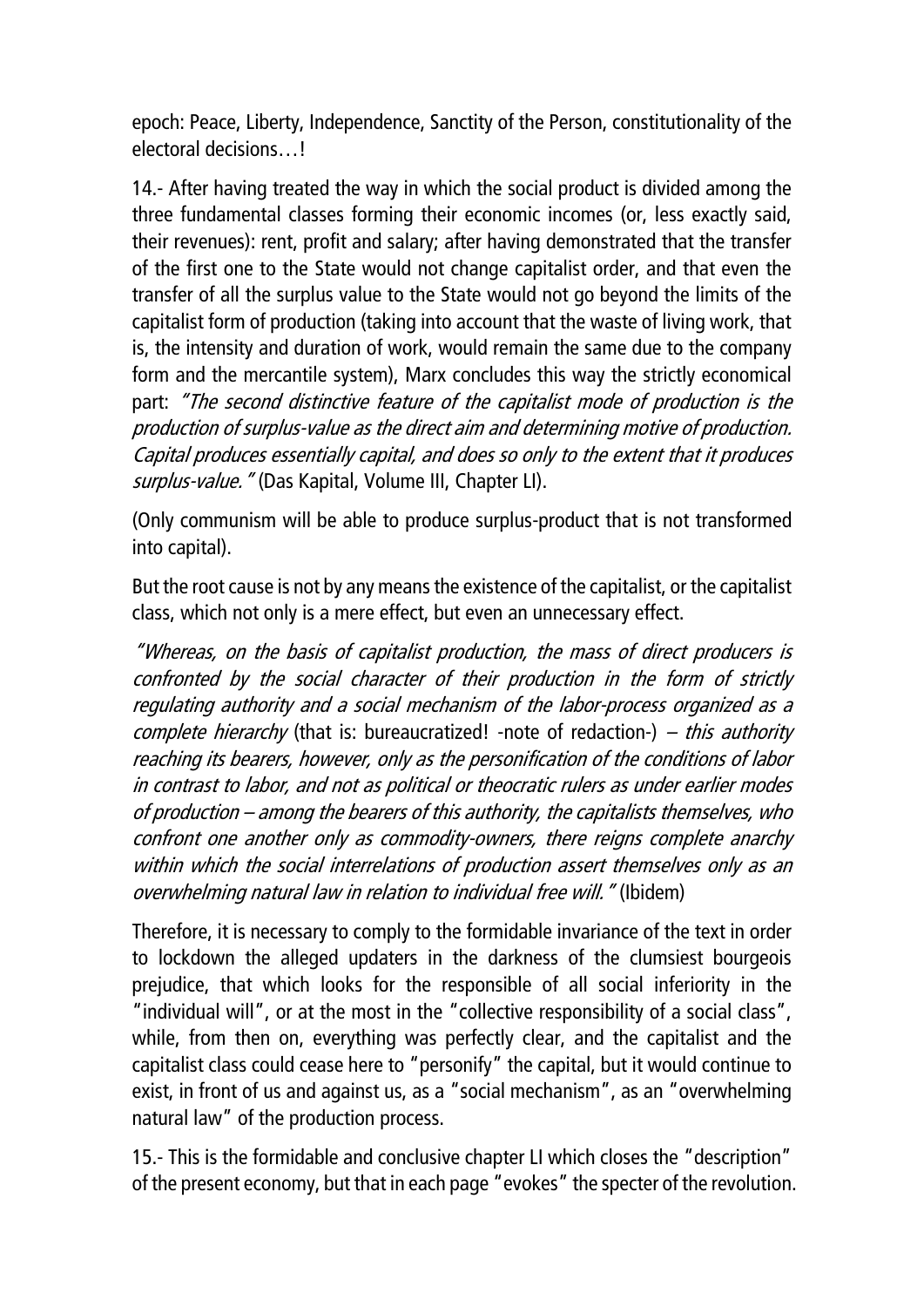epoch: Peace, Liberty, Independence, Sanctity of the Person, constitutionality of the electoral decisions l

14.- After having treated the way in which the social product is divided among the three fundamental classes forming their economic incomes (or, less exactly said, their revenues): rent, profit and salary; after having demonstrated that the transfer of the first one to the State would not change capitalist order, and that even the transfer of all the surplus value to the State would not go beyond the limits of the capitalist form of production (taking into account that the waste of living work, that is, the intensity and duration of work, would remain the same due to the company form and the mercantile system), Marx concludes this way the strictly economical part: "The second distinctive feature of the capitalist mode of production is the production of surplus-value as the direct aim and determining motive of production. Capital produces essentially capital, and does so only to the extent that it produces surplus-value." (Das Kapital, Volume III, Chapter LI).

(Only communism will be able to produce surplus-product that is not transformed into capital).

But the root cause is not by any means the existence of the capitalist, or the capitalist class, which not only is a mere effect, but even an unnecessary effect.

"Whereas, on the basis of capitalist production, the mass of direct producers is confronted by the social character of their production in the form of strictly regulating authority and a social mechanism of the labor-process organized as a *complete hierarchy* (that is: bureaucratized! -note of redaction-) – *this authority* reaching its bearers, however, only as the personification of the conditions of labor in contrast to labor, and not as political or theocratic rulers as under earlier modes of production – among the bearers of this authority, the capitalists themselves, who confront one another only as commodity-owners, there reigns complete anarchy within which the social interrelations of production assert themselves only as an overwhelming natural law in relation to individual free will." (Ibidem)

Therefore, it is necessary to comply to the formidable invariance of the text in order to lockdown the alleged updaters in the darkness of the clumsiest bourgeois prejudice, that which looks for the responsible of all social inferiority in the "individual will", or at the most in the "collective responsibility of a social class", while, from then on, everything was perfectly clear, and the capitalist and the capitalist class could cease here to "personify" the capital, but it would continue to exist, in front of us and against us, as a "social mechanism", as an "overwhelming natural law" of the production process.

15.- This is the formidable and conclusive chapter LI which closes the "description" of the present economy, but that in each page "evokes" the specter of the revolution.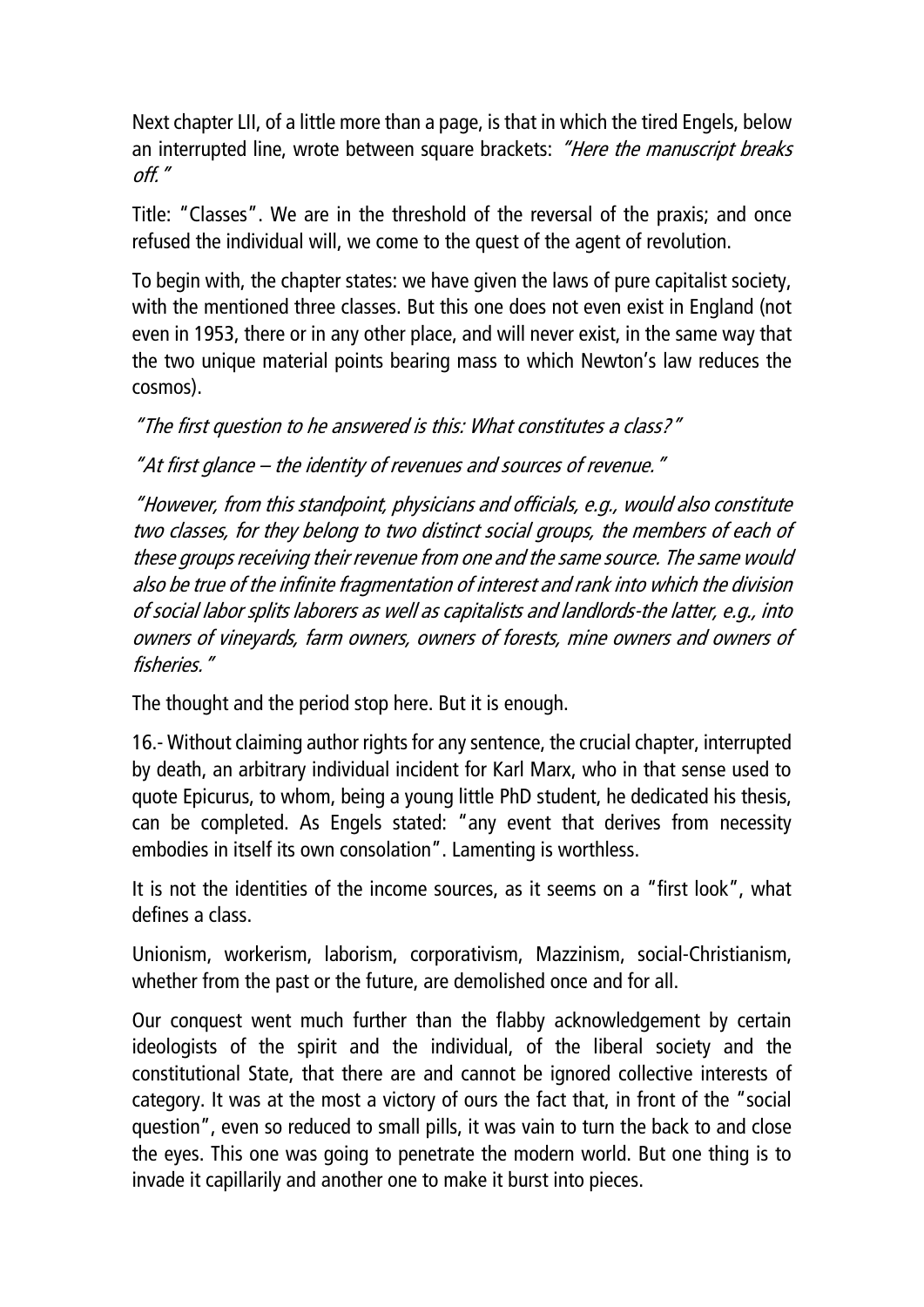Next chapter LII, of a little more than a page, is that in which the tired Engels, below an interrupted line, wrote between square brackets: "Here the manuscript breaks off."

Title: "Classes". We are in the threshold of the reversal of the praxis; and once refused the individual will, we come to the quest of the agent of revolution.

To begin with, the chapter states: we have given the laws of pure capitalist society, with the mentioned three classes. But this one does not even exist in England (not even in 1953, there or in any other place, and will never exist, in the same way that the two unique material points bearing mass to which Newton's law reduces the cosmos).

"The first question to he answered is this: What constitutes a class?"

"At first glance – the identity of revenues and sources of revenue."

"However, from this standpoint, physicians and officials, e.g., would also constitute two classes, for they belong to two distinct social groups, the members of each of these groups receiving their revenue from one and the same source. The same would also be true of the infinite fragmentation of interest and rank into which the division of social labor splits laborers as well as capitalists and landlords-the latter, e.g., into owners of vineyards, farm owners, owners of forests, mine owners and owners of fisheries."

The thought and the period stop here. But it is enough.

16.- Without claiming author rights for any sentence, the crucial chapter, interrupted by death, an arbitrary individual incident for Karl Marx, who in that sense used to quote Epicurus, to whom, being a young little PhD student, he dedicated his thesis, can be completed. As Engels stated: "any event that derives from necessity embodies in itself its own consolation". Lamenting is worthless.

It is not the identities of the income sources, as it seems on a "first look", what defines a class.

Unionism, workerism, laborism, corporativism, Mazzinism, social-Christianism, whether from the past or the future, are demolished once and for all.

Our conquest went much further than the flabby acknowledgement by certain ideologists of the spirit and the individual, of the liberal society and the constitutional State, that there are and cannot be ignored collective interests of category. It was at the most a victory of ours the fact that, in front of the "social question", even so reduced to small pills, it was vain to turn the back to and close the eyes. This one was going to penetrate the modern world. But one thing is to invade it capillarily and another one to make it burst into pieces.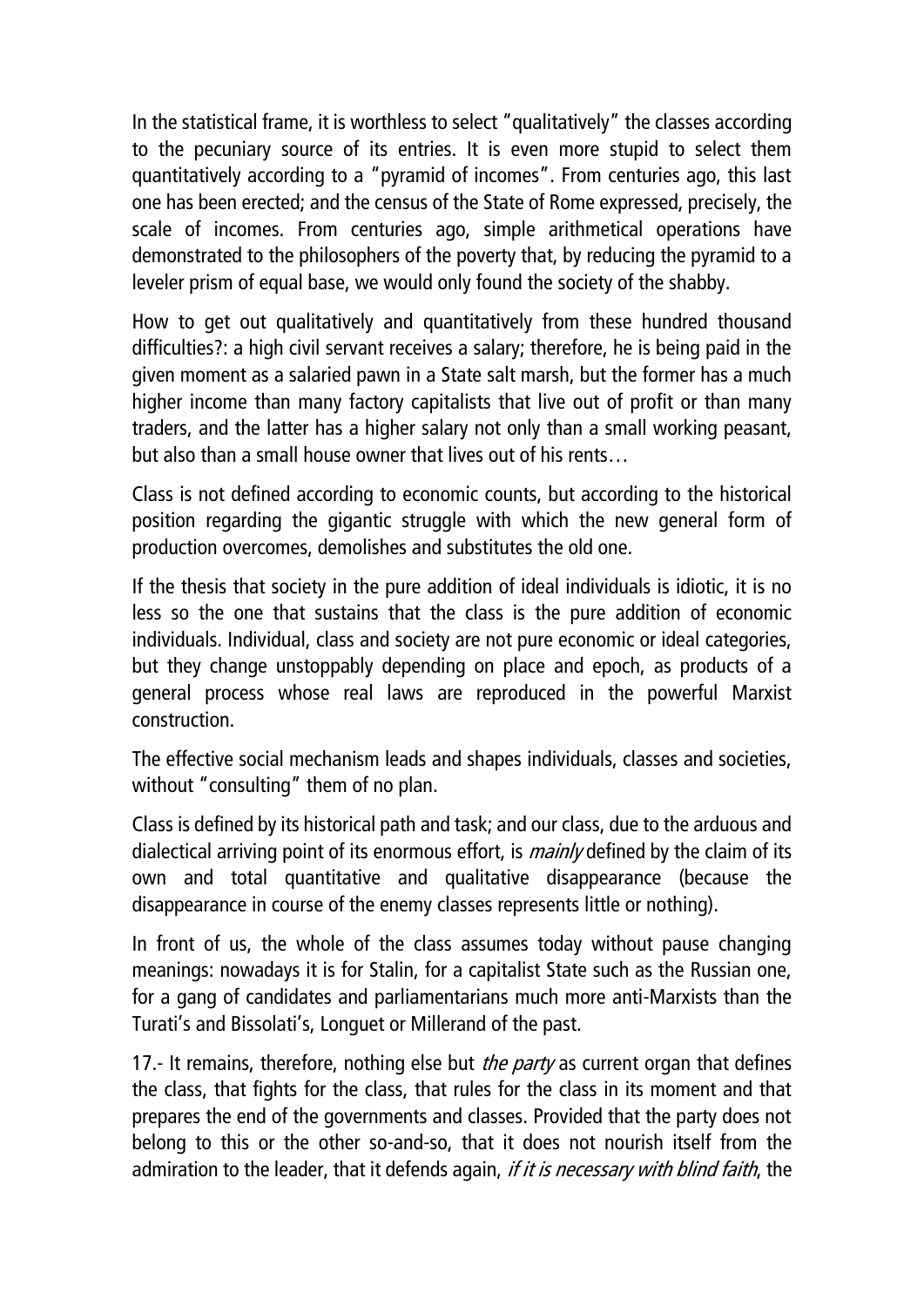In the statistical frame, it is worthless to select "qualitatively" the classes according to the pecuniary source of its entries. It is even more stupid to select them quantitatively according to a "pyramid of incomes". From centuries ago, this last one has been erected; and the census of the State of Rome expressed, precisely, the scale of incomes. From centuries ago, simple arithmetical operations have demonstrated to the philosophers of the poverty that, by reducing the pyramid to a leveler prism of equal base, we would only found the society of the shabby.

How to get out qualitatively and quantitatively from these hundred thousand difficulties?: a high civil servant receives a salary; therefore, he is being paid in the given moment as a salaried pawn in a State salt marsh, but the former has a much higher income than many factory capitalists that live out of profit or than many traders, and the latter has a higher salary not only than a small working peasant, but also than a small house owner that lives out of his rents…

Class is not defined according to economic counts, but according to the historical position regarding the gigantic struggle with which the new general form of production overcomes, demolishes and substitutes the old one.

If the thesis that society in the pure addition of ideal individuals is idiotic, it is no less so the one that sustains that the class is the pure addition of economic individuals. Individual, class and society are not pure economic or ideal categories, but they change unstoppably depending on place and epoch, as products of a general process whose real laws are reproduced in the powerful Marxist construction.

The effective social mechanism leads and shapes individuals, classes and societies, without "consulting" them of no plan.

Class is defined by its historical path and task; and our class, due to the arduous and dialectical arriving point of its enormous effort, is *mainly* defined by the claim of its own and total quantitative and qualitative disappearance (because the disappearance in course of the enemy classes represents little or nothing).

In front of us, the whole of the class assumes today without pause changing meanings: nowadays it is for Stalin, for a capitalist State such as the Russian one, for a gang of candidates and parliamentarians much more anti-Marxists than the Turati's and Bissolati's, Longuet or Millerand of the past.

17.- It remains, therefore, nothing else but *the party* as current organ that defines the class, that fights for the class, that rules for the class in its moment and that prepares the end of the governments and classes. Provided that the party does not belong to this or the other so-and-so, that it does not nourish itself from the admiration to the leader, that it defends again, *if it is necessary with blind faith*, the